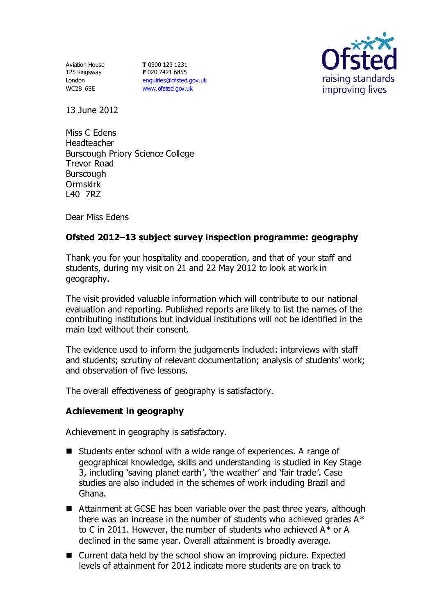Aviation House 125 Kingsway London WC2B 6SE

**T** 0300 123 1231 **F** 020 7421 6855 [enquiries@ofsted.gov.uk](mailto:enquiries@ofsted.gov.uk) [www.ofsted.gov.uk](http://www.ofsted.gov.uk/)



13 June 2012

Miss C Edens Headteacher Burscough Priory Science College Trevor Road **Burscough** Ormskirk L40 7RZ

Dear Miss Edens

# **Ofsted 2012–13 subject survey inspection programme: geography**

Thank you for your hospitality and cooperation, and that of your staff and students, during my visit on 21 and 22 May 2012 to look at work in geography.

The visit provided valuable information which will contribute to our national evaluation and reporting. Published reports are likely to list the names of the contributing institutions but individual institutions will not be identified in the main text without their consent.

The evidence used to inform the judgements included: interviews with staff and students; scrutiny of relevant documentation; analysis of students' work; and observation of five lessons.

The overall effectiveness of geography is satisfactory.

### **Achievement in geography**

Achievement in geography is satisfactory.

- Students enter school with a wide range of experiences. A range of geographical knowledge, skills and understanding is studied in Key Stage 3, including 'saving planet earth', 'the weather' and 'fair trade'. Case studies are also included in the schemes of work including Brazil and Ghana.
- Attainment at GCSE has been variable over the past three years, although there was an increase in the number of students who achieved grades  $A^*$ to C in 2011. However, the number of students who achieved A\* or A declined in the same year. Overall attainment is broadly average.
- Current data held by the school show an improving picture. Expected levels of attainment for 2012 indicate more students are on track to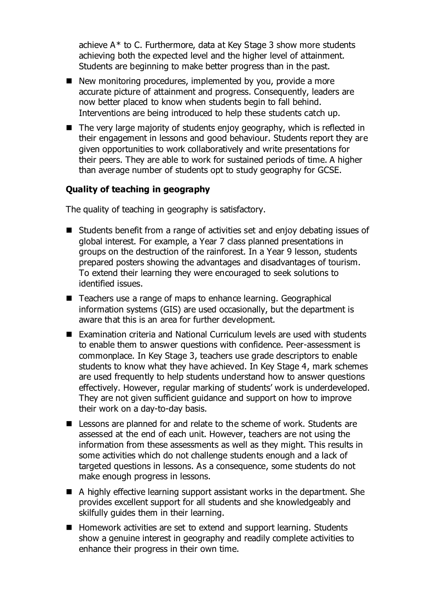achieve A\* to C. Furthermore, data at Key Stage 3 show more students achieving both the expected level and the higher level of attainment. Students are beginning to make better progress than in the past.

- $\blacksquare$  New monitoring procedures, implemented by you, provide a more accurate picture of attainment and progress. Consequently, leaders are now better placed to know when students begin to fall behind. Interventions are being introduced to help these students catch up.
- The very large majority of students enjoy geography, which is reflected in their engagement in lessons and good behaviour. Students report they are given opportunities to work collaboratively and write presentations for their peers. They are able to work for sustained periods of time. A higher than average number of students opt to study geography for GCSE.

## **Quality of teaching in geography**

The quality of teaching in geography is satisfactory.

- Students benefit from a range of activities set and enjoy debating issues of global interest. For example, a Year 7 class planned presentations in groups on the destruction of the rainforest. In a Year 9 lesson, students prepared posters showing the advantages and disadvantages of tourism. To extend their learning they were encouraged to seek solutions to identified issues.
- Teachers use a range of maps to enhance learning. Geographical information systems (GIS) are used occasionally, but the department is aware that this is an area for further development.
- Examination criteria and National Curriculum levels are used with students to enable them to answer questions with confidence. Peer-assessment is commonplace. In Key Stage 3, teachers use grade descriptors to enable students to know what they have achieved. In Key Stage 4, mark schemes are used frequently to help students understand how to answer questions effectively. However, regular marking of students' work is underdeveloped. They are not given sufficient guidance and support on how to improve their work on a day-to-day basis.
- Lessons are planned for and relate to the scheme of work. Students are assessed at the end of each unit. However, teachers are not using the information from these assessments as well as they might. This results in some activities which do not challenge students enough and a lack of targeted questions in lessons. As a consequence, some students do not make enough progress in lessons.
- A highly effective learning support assistant works in the department. She provides excellent support for all students and she knowledgeably and skilfully guides them in their learning.
- Homework activities are set to extend and support learning. Students show a genuine interest in geography and readily complete activities to enhance their progress in their own time.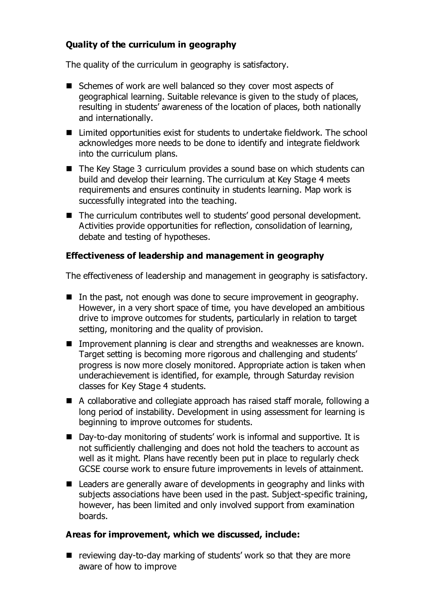# **Quality of the curriculum in geography**

The quality of the curriculum in geography is satisfactory.

- Schemes of work are well balanced so they cover most aspects of geographical learning. Suitable relevance is given to the study of places, resulting in students' awareness of the location of places, both nationally and internationally.
- Limited opportunities exist for students to undertake fieldwork. The school acknowledges more needs to be done to identify and integrate fieldwork into the curriculum plans.
- The Key Stage 3 curriculum provides a sound base on which students can build and develop their learning. The curriculum at Key Stage 4 meets requirements and ensures continuity in students learning. Map work is successfully integrated into the teaching.
- The curriculum contributes well to students' good personal development. Activities provide opportunities for reflection, consolidation of learning, debate and testing of hypotheses.

## **Effectiveness of leadership and management in geography**

The effectiveness of leadership and management in geography is satisfactory.

- $\blacksquare$  In the past, not enough was done to secure improvement in geography. However, in a very short space of time, you have developed an ambitious drive to improve outcomes for students, particularly in relation to target setting, monitoring and the quality of provision.
- Improvement planning is clear and strengths and weaknesses are known. Target setting is becoming more rigorous and challenging and students' progress is now more closely monitored. Appropriate action is taken when underachievement is identified, for example, through Saturday revision classes for Key Stage 4 students.
- A collaborative and collegiate approach has raised staff morale, following a long period of instability. Development in using assessment for learning is beginning to improve outcomes for students.
- Day-to-day monitoring of students' work is informal and supportive. It is not sufficiently challenging and does not hold the teachers to account as well as it might. Plans have recently been put in place to regularly check GCSE course work to ensure future improvements in levels of attainment.
- Leaders are generally aware of developments in geography and links with subjects associations have been used in the past. Subject-specific training, however, has been limited and only involved support from examination boards.

### **Areas for improvement, which we discussed, include:**

 $\blacksquare$  reviewing day-to-day marking of students' work so that they are more aware of how to improve